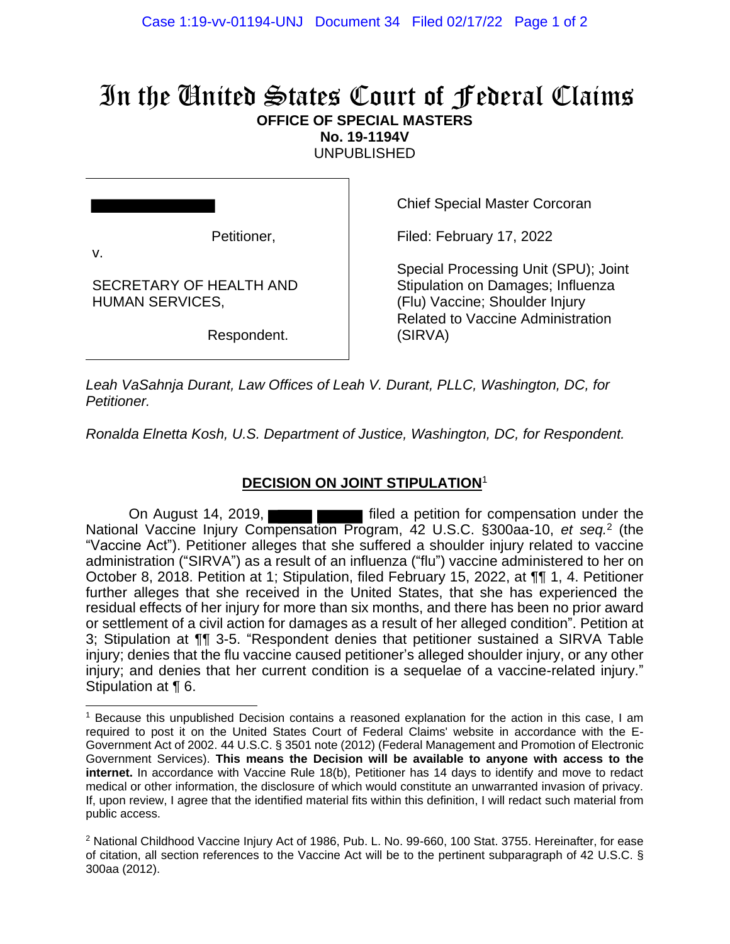## In the United States Court of Federal Claims **OFFICE OF SPECIAL MASTERS**

**No. 19-1194V**

UNPUBLISHED

Petitioner,

SECRETARY OF HEALTH AND

HUMAN SERVICES,

v.

Chief Special Master Corcoran

Filed: February 17, 2022

Special Processing Unit (SPU); Joint Stipulation on Damages; Influenza (Flu) Vaccine; Shoulder Injury Related to Vaccine Administration (SIRVA)

Respondent.

*Leah VaSahnja Durant, Law Offices of Leah V. Durant, PLLC, Washington, DC, for Petitioner.*

*Ronalda Elnetta Kosh, U.S. Department of Justice, Washington, DC, for Respondent.*

## **DECISION ON JOINT STIPULATION**<sup>1</sup>

On August 14, 2019, **Fig. 2019** filed a petition for compensation under the National Vaccine Injury Compensation Program, 42 U.S.C. §300aa-10, et seq.<sup>2</sup> (the "Vaccine Act"). Petitioner alleges that she suffered a shoulder injury related to vaccine administration ("SIRVA") as a result of an influenza ("flu") vaccine administered to her on October 8, 2018. Petition at 1; Stipulation, filed February 15, 2022, at ¶¶ 1, 4. Petitioner further alleges that she received in the United States, that she has experienced the residual effects of her injury for more than six months, and there has been no prior award or settlement of a civil action for damages as a result of her alleged condition". Petition at 3; Stipulation at ¶¶ 3-5. "Respondent denies that petitioner sustained a SIRVA Table injury; denies that the flu vaccine caused petitioner's alleged shoulder injury, or any other injury; and denies that her current condition is a sequelae of a vaccine-related injury." Stipulation at ¶ 6.

<sup>1</sup> Because this unpublished Decision contains a reasoned explanation for the action in this case, I am required to post it on the United States Court of Federal Claims' website in accordance with the E-Government Act of 2002. 44 U.S.C. § 3501 note (2012) (Federal Management and Promotion of Electronic Government Services). **This means the Decision will be available to anyone with access to the internet.** In accordance with Vaccine Rule 18(b), Petitioner has 14 days to identify and move to redact medical or other information, the disclosure of which would constitute an unwarranted invasion of privacy. If, upon review, I agree that the identified material fits within this definition, I will redact such material from public access.

<sup>&</sup>lt;sup>2</sup> National Childhood Vaccine Injury Act of 1986, Pub. L. No. 99-660, 100 Stat. 3755. Hereinafter, for ease of citation, all section references to the Vaccine Act will be to the pertinent subparagraph of 42 U.S.C. § 300aa (2012).